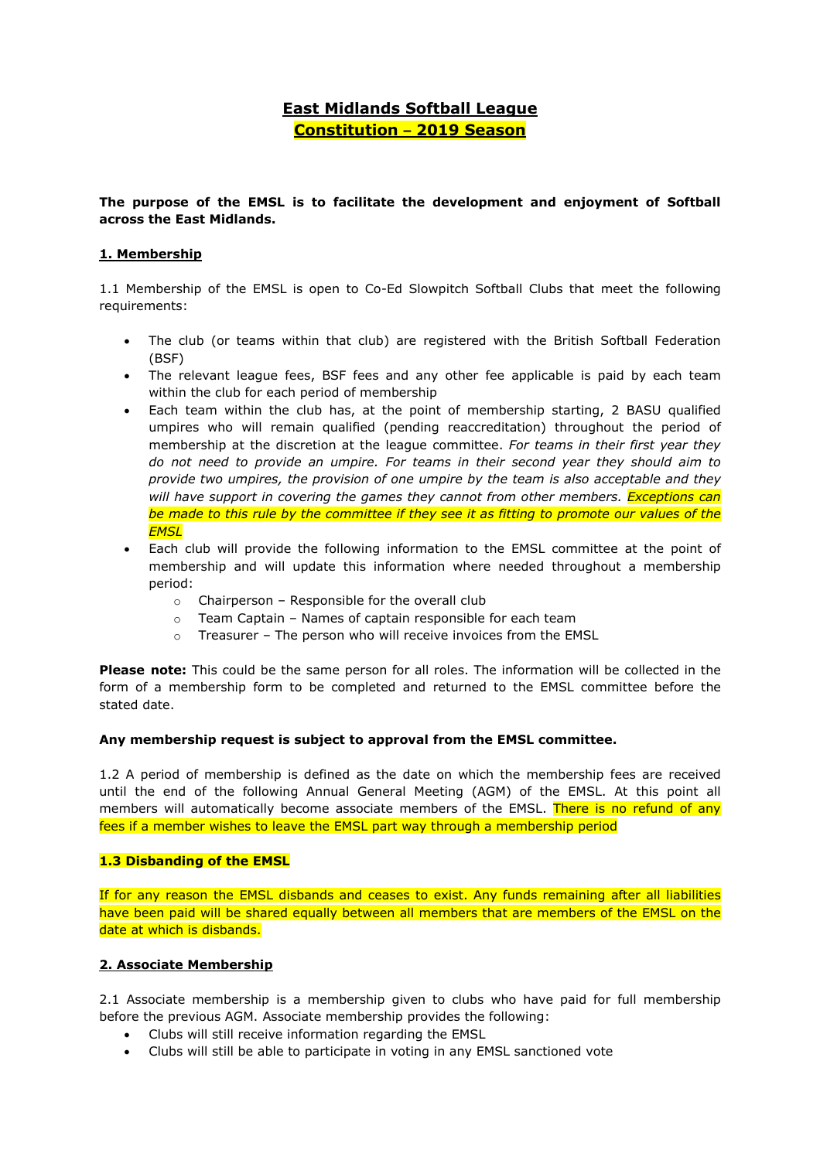# **East Midlands Softball League Constitution – 2019 Season**

# **The purpose of the EMSL is to facilitate the development and enjoyment of Softball across the East Midlands.**

# **1. Membership**

1.1 Membership of the EMSL is open to Co-Ed Slowpitch Softball Clubs that meet the following requirements:

- The club (or teams within that club) are registered with the British Softball Federation (BSF)
- The relevant league fees, BSF fees and any other fee applicable is paid by each team within the club for each period of membership
- Each team within the club has, at the point of membership starting, 2 BASU qualified umpires who will remain qualified (pending reaccreditation) throughout the period of membership at the discretion at the league committee. *For teams in their first year they do not need to provide an umpire. For teams in their second year they should aim to provide two umpires, the provision of one umpire by the team is also acceptable and they will have support in covering the games they cannot from other members. Exceptions can be made to this rule by the committee if they see it as fitting to promote our values of the EMSL*
- Each club will provide the following information to the EMSL committee at the point of membership and will update this information where needed throughout a membership period:
	- o Chairperson Responsible for the overall club
	- o Team Captain Names of captain responsible for each team
	- o Treasurer The person who will receive invoices from the EMSL

**Please note:** This could be the same person for all roles. The information will be collected in the form of a membership form to be completed and returned to the EMSL committee before the stated date.

# **Any membership request is subject to approval from the EMSL committee.**

1.2 A period of membership is defined as the date on which the membership fees are received until the end of the following Annual General Meeting (AGM) of the EMSL. At this point all members will automatically become associate members of the EMSL. There is no refund of any fees if a member wishes to leave the EMSL part way through a membership period

# **1.3 Disbanding of the EMSL**

If for any reason the EMSL disbands and ceases to exist. Any funds remaining after all liabilities have been paid will be shared equally between all members that are members of the EMSL on the date at which is disbands.

# **2. Associate Membership**

2.1 Associate membership is a membership given to clubs who have paid for full membership before the previous AGM. Associate membership provides the following:

- Clubs will still receive information regarding the EMSL
- Clubs will still be able to participate in voting in any EMSL sanctioned vote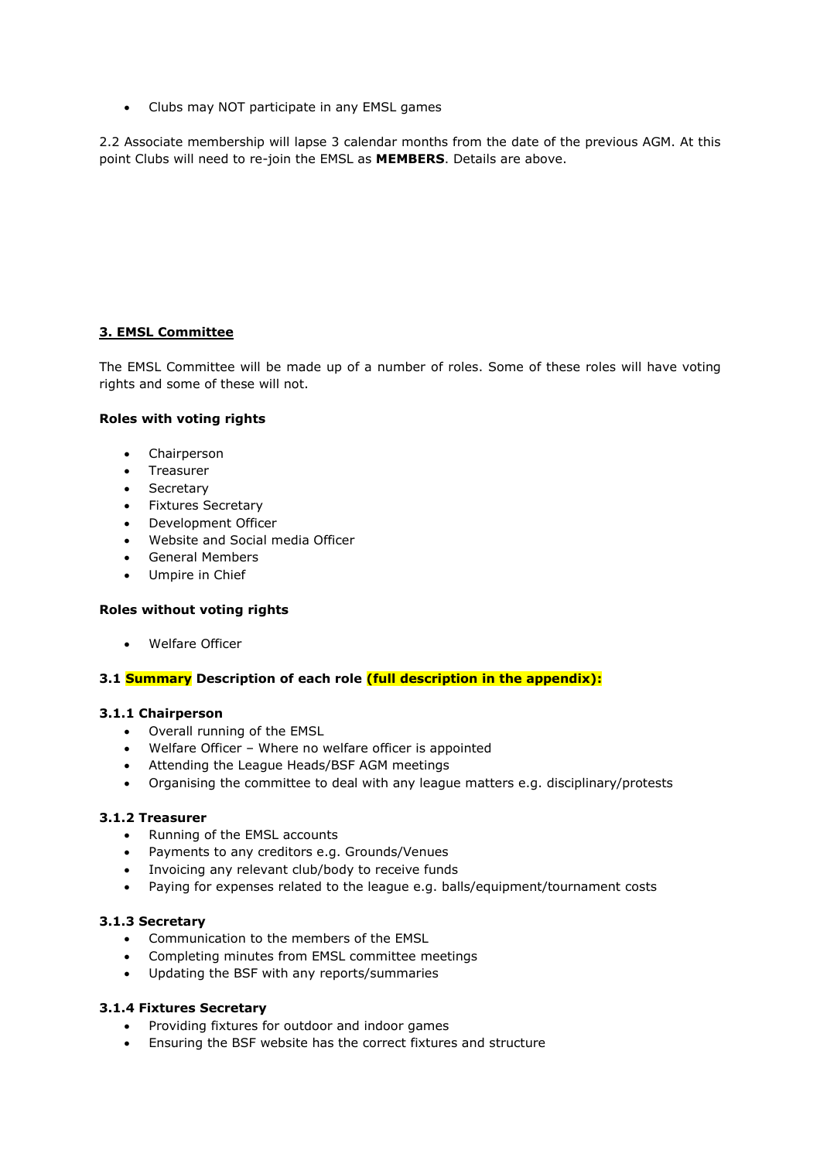• Clubs may NOT participate in any EMSL games

2.2 Associate membership will lapse 3 calendar months from the date of the previous AGM. At this point Clubs will need to re-join the EMSL as **MEMBERS**. Details are above.

# **3. EMSL Committee**

The EMSL Committee will be made up of a number of roles. Some of these roles will have voting rights and some of these will not.

# **Roles with voting rights**

- Chairperson
- Treasurer
- Secretary
- Fixtures Secretary
- Development Officer
- Website and Social media Officer
- General Members
- Umpire in Chief

# **Roles without voting rights**

Welfare Officer

# **3.1 Summary Description of each role (full description in the appendix):**

# **3.1.1 Chairperson**

- Overall running of the EMSL
- Welfare Officer Where no welfare officer is appointed
- Attending the League Heads/BSF AGM meetings
- Organising the committee to deal with any league matters e.g. disciplinary/protests

# **3.1.2 Treasurer**

- Running of the EMSL accounts
- Payments to any creditors e.g. Grounds/Venues
- Invoicing any relevant club/body to receive funds
- Paying for expenses related to the league e.g. balls/equipment/tournament costs

# **3.1.3 Secretary**

- Communication to the members of the EMSL
- Completing minutes from EMSL committee meetings
- Updating the BSF with any reports/summaries

# **3.1.4 Fixtures Secretary**

- Providing fixtures for outdoor and indoor games
- Ensuring the BSF website has the correct fixtures and structure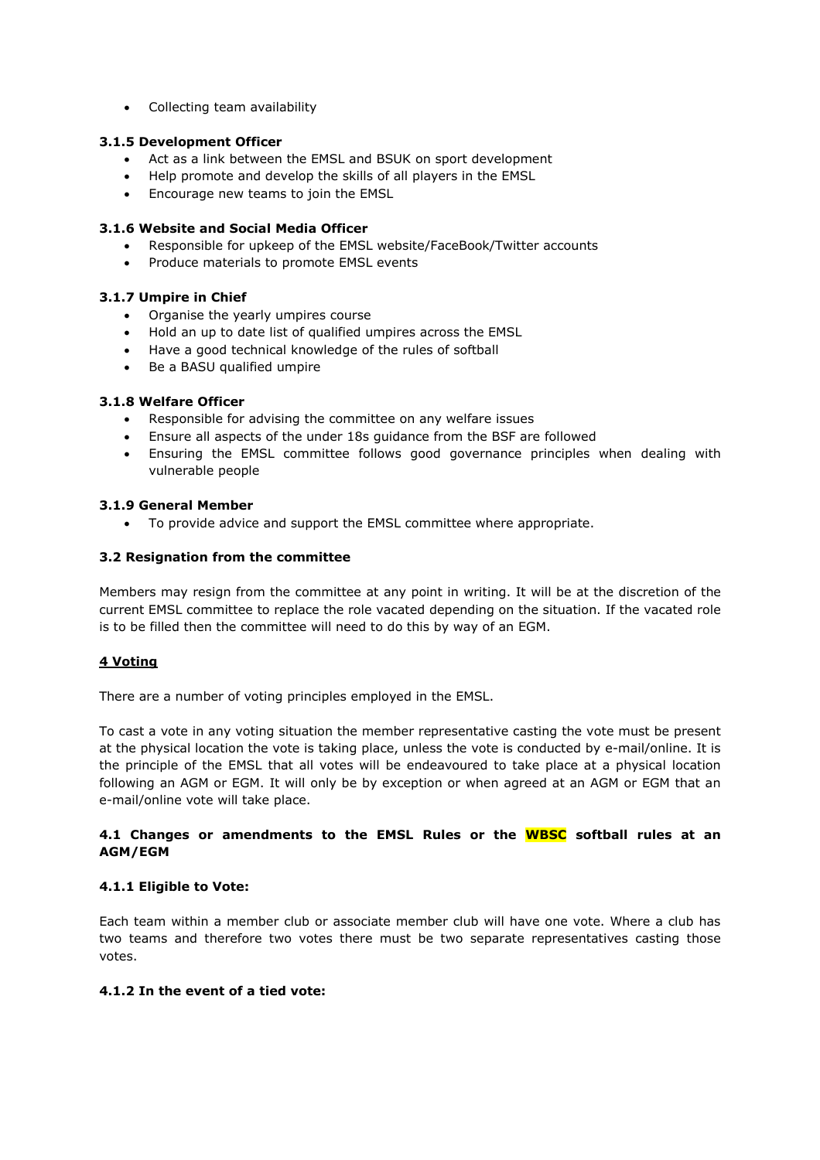Collecting team availability

# **3.1.5 Development Officer**

- Act as a link between the EMSL and BSUK on sport development
- Help promote and develop the skills of all players in the EMSL
- Encourage new teams to join the EMSL

# **3.1.6 Website and Social Media Officer**

- Responsible for upkeep of the EMSL website/FaceBook/Twitter accounts
- Produce materials to promote EMSL events

# **3.1.7 Umpire in Chief**

- Organise the yearly umpires course
- Hold an up to date list of qualified umpires across the EMSL
- Have a good technical knowledge of the rules of softball
- Be a BASU qualified umpire

# **3.1.8 Welfare Officer**

- Responsible for advising the committee on any welfare issues
- Ensure all aspects of the under 18s guidance from the BSF are followed
- Ensuring the EMSL committee follows good governance principles when dealing with vulnerable people

# **3.1.9 General Member**

To provide advice and support the EMSL committee where appropriate.

# **3.2 Resignation from the committee**

Members may resign from the committee at any point in writing. It will be at the discretion of the current EMSL committee to replace the role vacated depending on the situation. If the vacated role is to be filled then the committee will need to do this by way of an EGM.

# **4 Voting**

There are a number of voting principles employed in the EMSL.

To cast a vote in any voting situation the member representative casting the vote must be present at the physical location the vote is taking place, unless the vote is conducted by e-mail/online. It is the principle of the EMSL that all votes will be endeavoured to take place at a physical location following an AGM or EGM. It will only be by exception or when agreed at an AGM or EGM that an e-mail/online vote will take place.

# **4.1 Changes or amendments to the EMSL Rules or the WBSC softball rules at an AGM/EGM**

# **4.1.1 Eligible to Vote:**

Each team within a member club or associate member club will have one vote. Where a club has two teams and therefore two votes there must be two separate representatives casting those votes.

# **4.1.2 In the event of a tied vote:**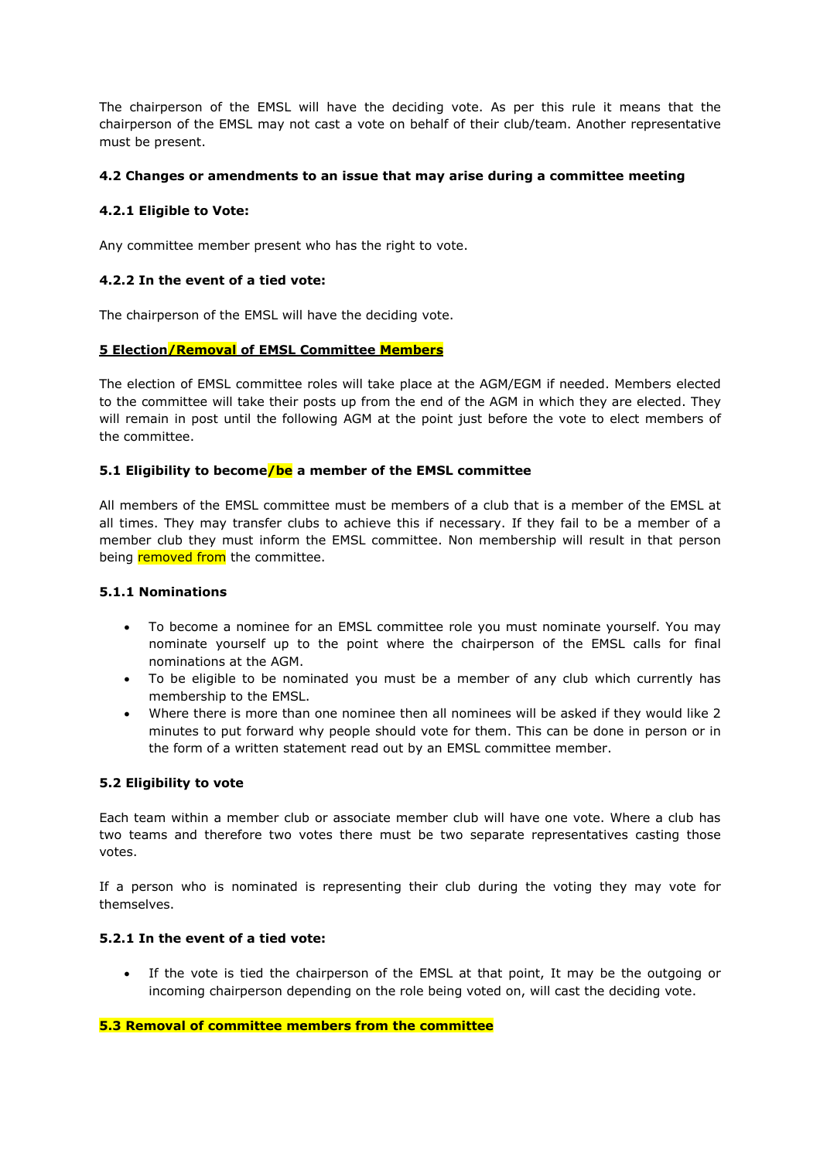The chairperson of the EMSL will have the deciding vote. As per this rule it means that the chairperson of the EMSL may not cast a vote on behalf of their club/team. Another representative must be present.

# **4.2 Changes or amendments to an issue that may arise during a committee meeting**

# **4.2.1 Eligible to Vote:**

Any committee member present who has the right to vote.

# **4.2.2 In the event of a tied vote:**

The chairperson of the EMSL will have the deciding vote.

# **5 Election/Removal of EMSL Committee Members**

The election of EMSL committee roles will take place at the AGM/EGM if needed. Members elected to the committee will take their posts up from the end of the AGM in which they are elected. They will remain in post until the following AGM at the point just before the vote to elect members of the committee.

# **5.1 Eligibility to become/be a member of the EMSL committee**

All members of the EMSL committee must be members of a club that is a member of the EMSL at all times. They may transfer clubs to achieve this if necessary. If they fail to be a member of a member club they must inform the EMSL committee. Non membership will result in that person being removed from the committee.

# **5.1.1 Nominations**

- To become a nominee for an EMSL committee role you must nominate yourself. You may nominate yourself up to the point where the chairperson of the EMSL calls for final nominations at the AGM.
- To be eligible to be nominated you must be a member of any club which currently has membership to the EMSL.
- Where there is more than one nominee then all nominees will be asked if they would like 2 minutes to put forward why people should vote for them. This can be done in person or in the form of a written statement read out by an EMSL committee member.

# **5.2 Eligibility to vote**

Each team within a member club or associate member club will have one vote. Where a club has two teams and therefore two votes there must be two separate representatives casting those votes.

If a person who is nominated is representing their club during the voting they may vote for themselves.

# **5.2.1 In the event of a tied vote:**

 If the vote is tied the chairperson of the EMSL at that point, It may be the outgoing or incoming chairperson depending on the role being voted on, will cast the deciding vote.

# **5.3 Removal of committee members from the committee**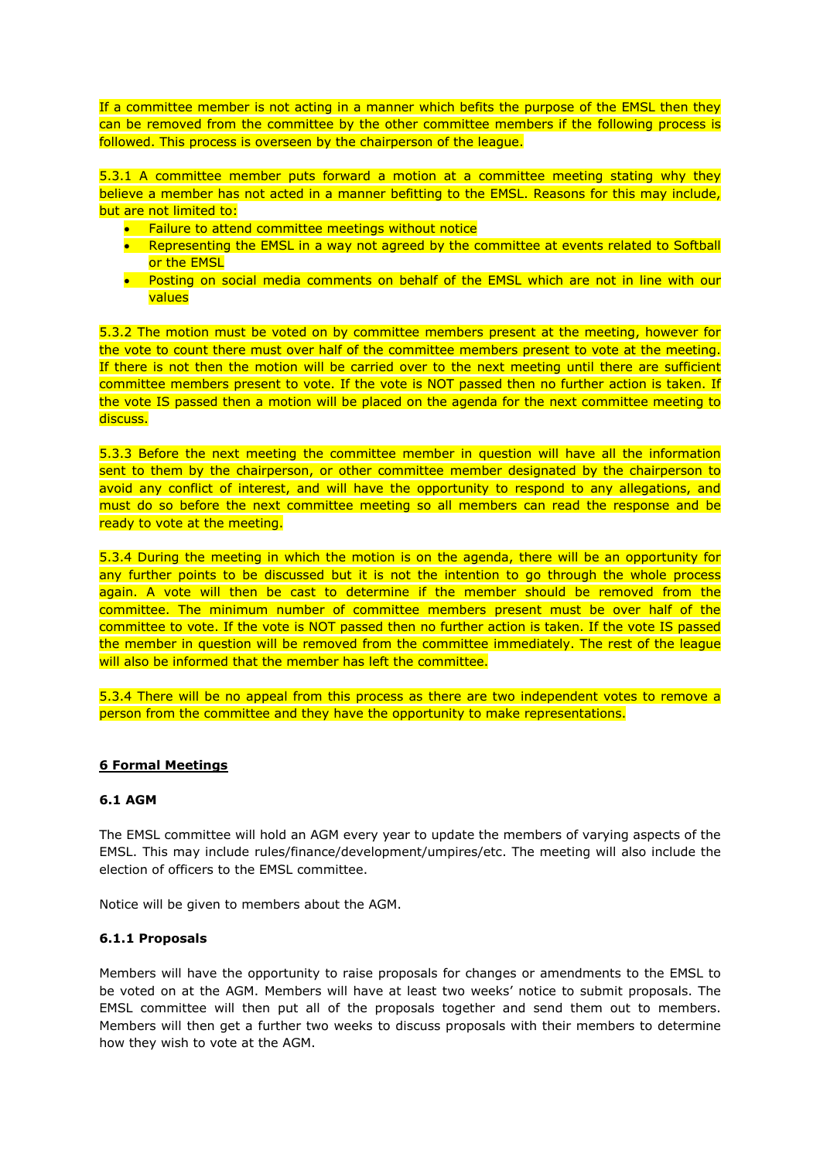If a committee member is not acting in a manner which befits the purpose of the EMSL then they can be removed from the committee by the other committee members if the following process is followed. This process is overseen by the chairperson of the league.

5.3.1 A committee member puts forward a motion at a committee meeting stating why they believe a member has not acted in a manner befitting to the EMSL. Reasons for this may include, but are not limited to:

- **•** Failure to attend committee meetings without notice
- Representing the EMSL in a way not agreed by the committee at events related to Softball or the EMSL
- Posting on social media comments on behalf of the EMSL which are not in line with our values

5.3.2 The motion must be voted on by committee members present at the meeting, however for the vote to count there must over half of the committee members present to vote at the meeting. If there is not then the motion will be carried over to the next meeting until there are sufficient committee members present to vote. If the vote is NOT passed then no further action is taken. If the vote IS passed then a motion will be placed on the agenda for the next committee meeting to discuss.

5.3.3 Before the next meeting the committee member in question will have all the information sent to them by the chairperson, or other committee member designated by the chairperson to avoid any conflict of interest, and will have the opportunity to respond to any allegations, and must do so before the next committee meeting so all members can read the response and be ready to vote at the meeting.

5.3.4 During the meeting in which the motion is on the agenda, there will be an opportunity for any further points to be discussed but it is not the intention to go through the whole process again. A vote will then be cast to determine if the member should be removed from the committee. The minimum number of committee members present must be over half of the committee to vote. If the vote is NOT passed then no further action is taken. If the vote IS passed the member in question will be removed from the committee immediately. The rest of the league will also be informed that the member has left the committee.

5.3.4 There will be no appeal from this process as there are two independent votes to remove a person from the committee and they have the opportunity to make representations.

# **6 Formal Meetings**

# **6.1 AGM**

The EMSL committee will hold an AGM every year to update the members of varying aspects of the EMSL. This may include rules/finance/development/umpires/etc. The meeting will also include the election of officers to the EMSL committee.

Notice will be given to members about the AGM.

# **6.1.1 Proposals**

Members will have the opportunity to raise proposals for changes or amendments to the EMSL to be voted on at the AGM. Members will have at least two weeks' notice to submit proposals. The EMSL committee will then put all of the proposals together and send them out to members. Members will then get a further two weeks to discuss proposals with their members to determine how they wish to vote at the AGM.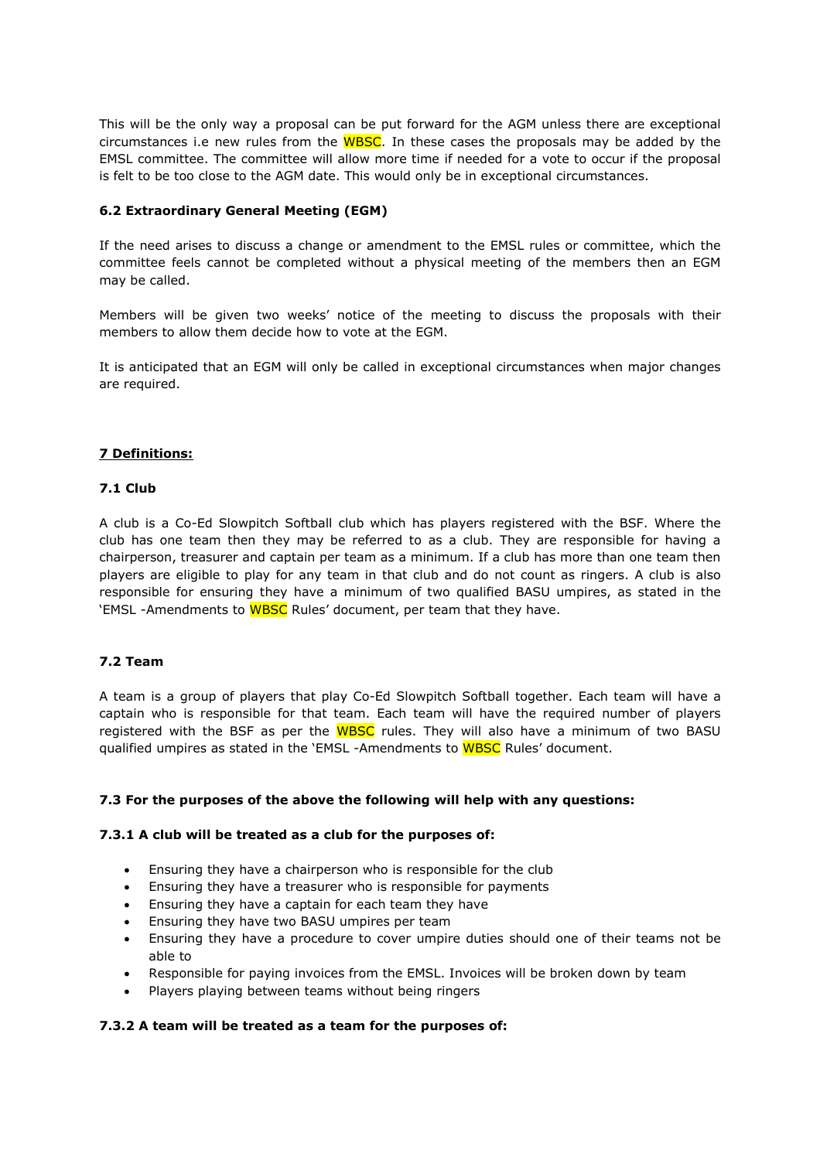This will be the only way a proposal can be put forward for the AGM unless there are exceptional circumstances i.e new rules from the WBSC. In these cases the proposals may be added by the EMSL committee. The committee will allow more time if needed for a vote to occur if the proposal is felt to be too close to the AGM date. This would only be in exceptional circumstances.

# **6.2 Extraordinary General Meeting (EGM)**

If the need arises to discuss a change or amendment to the EMSL rules or committee, which the committee feels cannot be completed without a physical meeting of the members then an EGM may be called.

Members will be given two weeks' notice of the meeting to discuss the proposals with their members to allow them decide how to vote at the EGM.

It is anticipated that an EGM will only be called in exceptional circumstances when major changes are required.

# **7 Definitions:**

# **7.1 Club**

A club is a Co-Ed Slowpitch Softball club which has players registered with the BSF. Where the club has one team then they may be referred to as a club. They are responsible for having a chairperson, treasurer and captain per team as a minimum. If a club has more than one team then players are eligible to play for any team in that club and do not count as ringers. A club is also responsible for ensuring they have a minimum of two qualified BASU umpires, as stated in the 'EMSL -Amendments to WBSC Rules' document, per team that they have.

# **7.2 Team**

A team is a group of players that play Co-Ed Slowpitch Softball together. Each team will have a captain who is responsible for that team. Each team will have the required number of players registered with the BSF as per the WBSC rules. They will also have a minimum of two BASU qualified umpires as stated in the 'EMSL -Amendments to WBSC Rules' document.

# **7.3 For the purposes of the above the following will help with any questions:**

# **7.3.1 A club will be treated as a club for the purposes of:**

- Ensuring they have a chairperson who is responsible for the club
- Ensuring they have a treasurer who is responsible for payments
- Ensuring they have a captain for each team they have
- Ensuring they have two BASU umpires per team
- Ensuring they have a procedure to cover umpire duties should one of their teams not be able to
- Responsible for paying invoices from the EMSL. Invoices will be broken down by team
- Players playing between teams without being ringers

# **7.3.2 A team will be treated as a team for the purposes of:**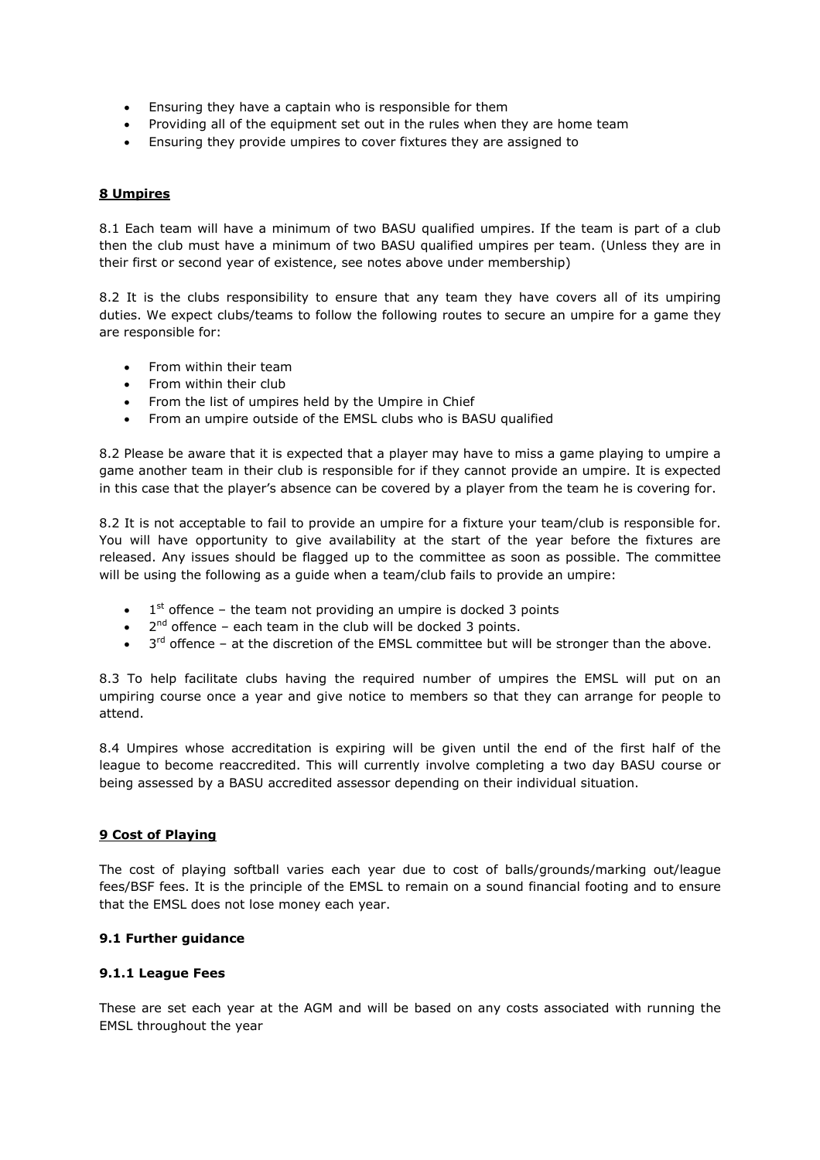- Ensuring they have a captain who is responsible for them
- Providing all of the equipment set out in the rules when they are home team
- Ensuring they provide umpires to cover fixtures they are assigned to

# **8 Umpires**

8.1 Each team will have a minimum of two BASU qualified umpires. If the team is part of a club then the club must have a minimum of two BASU qualified umpires per team. (Unless they are in their first or second year of existence, see notes above under membership)

8.2 It is the clubs responsibility to ensure that any team they have covers all of its umpiring duties. We expect clubs/teams to follow the following routes to secure an umpire for a game they are responsible for:

- From within their team
- From within their club
- From the list of umpires held by the Umpire in Chief
- From an umpire outside of the EMSL clubs who is BASU qualified

8.2 Please be aware that it is expected that a player may have to miss a game playing to umpire a game another team in their club is responsible for if they cannot provide an umpire. It is expected in this case that the player's absence can be covered by a player from the team he is covering for.

8.2 It is not acceptable to fail to provide an umpire for a fixture your team/club is responsible for. You will have opportunity to give availability at the start of the year before the fixtures are released. Any issues should be flagged up to the committee as soon as possible. The committee will be using the following as a guide when a team/club fails to provide an umpire:

- $\bullet$  1<sup>st</sup> offence the team not providing an umpire is docked 3 points
- $\bullet$  2<sup>nd</sup> offence each team in the club will be docked 3 points.
- $\bullet$  3<sup>rd</sup> offence at the discretion of the EMSL committee but will be stronger than the above.

8.3 To help facilitate clubs having the required number of umpires the EMSL will put on an umpiring course once a year and give notice to members so that they can arrange for people to attend.

8.4 Umpires whose accreditation is expiring will be given until the end of the first half of the league to become reaccredited. This will currently involve completing a two day BASU course or being assessed by a BASU accredited assessor depending on their individual situation.

# **9 Cost of Playing**

The cost of playing softball varies each year due to cost of balls/grounds/marking out/league fees/BSF fees. It is the principle of the EMSL to remain on a sound financial footing and to ensure that the EMSL does not lose money each year.

# **9.1 Further guidance**

# **9.1.1 League Fees**

These are set each year at the AGM and will be based on any costs associated with running the EMSL throughout the year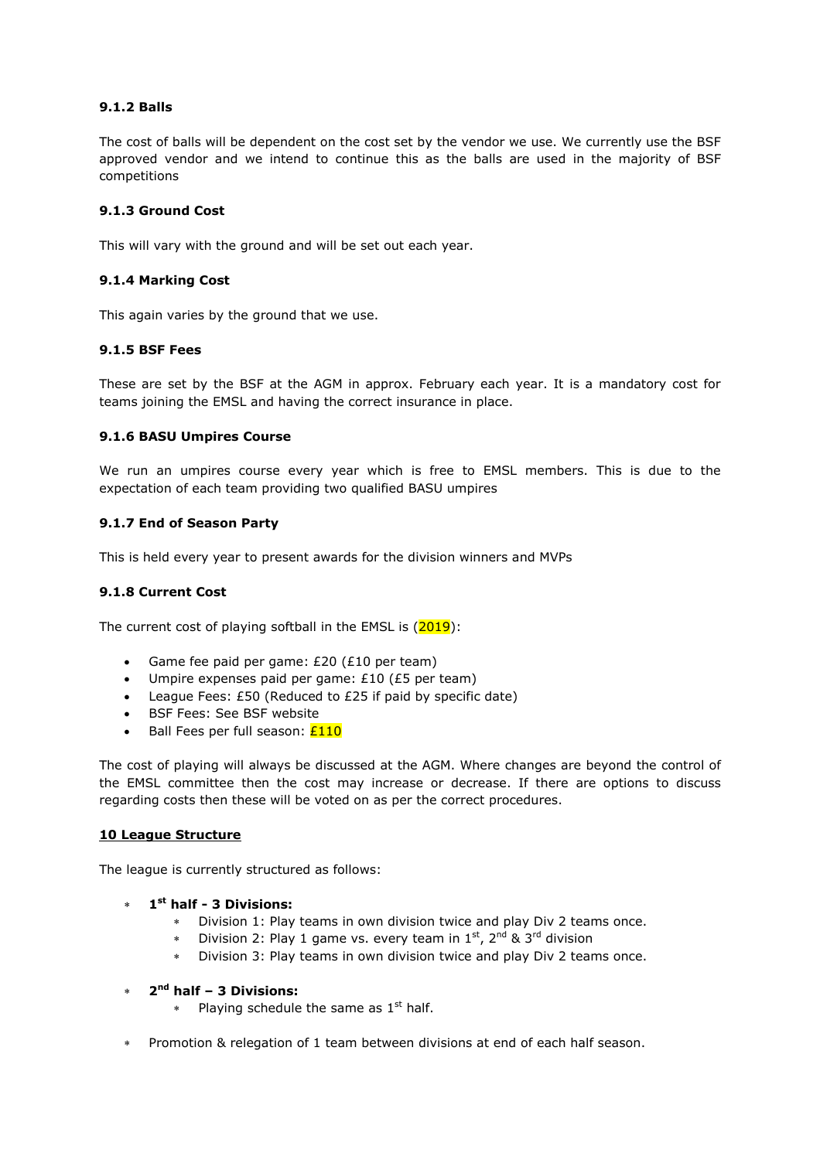# **9.1.2 Balls**

The cost of balls will be dependent on the cost set by the vendor we use. We currently use the BSF approved vendor and we intend to continue this as the balls are used in the majority of BSF competitions

# **9.1.3 Ground Cost**

This will vary with the ground and will be set out each year.

# **9.1.4 Marking Cost**

This again varies by the ground that we use.

# **9.1.5 BSF Fees**

These are set by the BSF at the AGM in approx. February each year. It is a mandatory cost for teams joining the EMSL and having the correct insurance in place.

# **9.1.6 BASU Umpires Course**

We run an umpires course every year which is free to EMSL members. This is due to the expectation of each team providing two qualified BASU umpires

# **9.1.7 End of Season Party**

This is held every year to present awards for the division winners and MVPs

# **9.1.8 Current Cost**

The current cost of playing softball in the EMSL is  $(2019)$ :

- Game fee paid per game: £20 (£10 per team)
- Umpire expenses paid per game: £10 (£5 per team)
- League Fees: £50 (Reduced to £25 if paid by specific date)
- BSF Fees: See BSF website
- $\bullet$  Ball Fees per full season:  $£110$

The cost of playing will always be discussed at the AGM. Where changes are beyond the control of the EMSL committee then the cost may increase or decrease. If there are options to discuss regarding costs then these will be voted on as per the correct procedures.

# **10 League Structure**

The league is currently structured as follows:

- **1 st half 3 Divisions:** 
	- Division 1: Play teams in own division twice and play Div 2 teams once.
	- Division 2: Play 1 game vs. every team in  $1^{st}$ ,  $2^{nd}$  &  $3^{rd}$  division
	- Division 3: Play teams in own division twice and play Div 2 teams once.
- **2 nd half – 3 Divisions:** 
	- Playing schedule the same as  $1<sup>st</sup>$  half.
- Promotion & relegation of 1 team between divisions at end of each half season.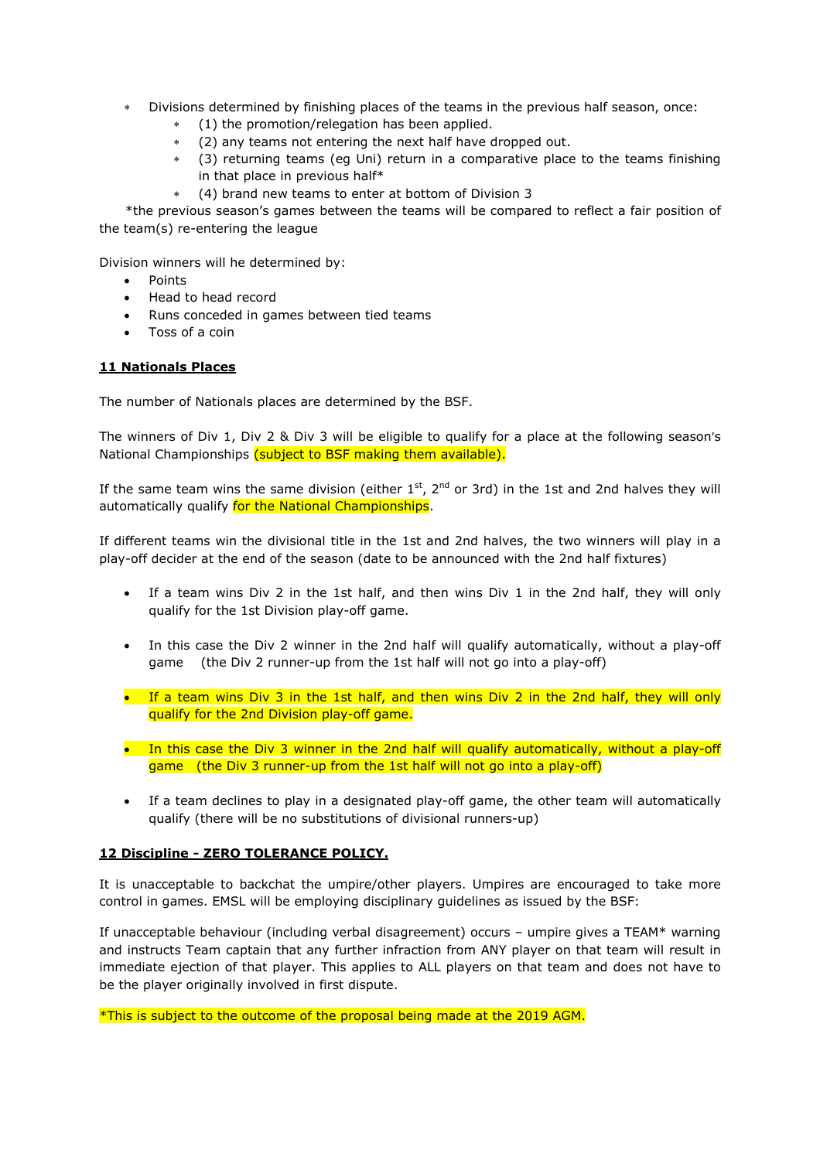- Divisions determined by finishing places of the teams in the previous half season, once:
	- (1) the promotion/relegation has been applied.
	- (2) any teams not entering the next half have dropped out.
	- (3) returning teams (eg Uni) return in a comparative place to the teams finishing in that place in previous half\*
	- (4) brand new teams to enter at bottom of Division 3

 \*the previous season's games between the teams will be compared to reflect a fair position of the team(s) re-entering the league

Division winners will he determined by:

- Points
- Head to head record
- Runs conceded in games between tied teams
- Toss of a coin

# **11 Nationals Places**

The number of Nationals places are determined by the BSF.

The winners of Div 1, Div 2 & Div 3 will be eligible to qualify for a place at the following season's National Championships (subject to BSF making them available).

If the same team wins the same division (either  $1<sup>st</sup>$ ,  $2<sup>nd</sup>$  or 3rd) in the 1st and 2nd halves they will automatically qualify for the National Championships.

If different teams win the divisional title in the 1st and 2nd halves, the two winners will play in a play-off decider at the end of the season (date to be announced with the 2nd half fixtures)

- If a team wins Div 2 in the 1st half, and then wins Div 1 in the 2nd half, they will only qualify for the 1st Division play-off game.
- In this case the Div 2 winner in the 2nd half will qualify automatically, without a play-off game (the Div 2 runner-up from the 1st half will not go into a play-off)
- If a team wins Div 3 in the 1st half, and then wins Div 2 in the 2nd half, they will only qualify for the 2nd Division play-off game.
- In this case the Div 3 winner in the 2nd half will qualify automatically, without a play-off game (the Div 3 runner-up from the 1st half will not go into a play-off)
- If a team declines to play in a designated play-off game, the other team will automatically qualify (there will be no substitutions of divisional runners-up)

# **12 Discipline - ZERO TOLERANCE POLICY.**

It is unacceptable to backchat the umpire/other players. Umpires are encouraged to take more control in games. EMSL will be employing disciplinary guidelines as issued by the BSF:

If unacceptable behaviour (including verbal disagreement) occurs – umpire gives a TEAM\* warning and instructs Team captain that any further infraction from ANY player on that team will result in immediate ejection of that player. This applies to ALL players on that team and does not have to be the player originally involved in first dispute.

\*This is subject to the outcome of the proposal being made at the 2019 AGM.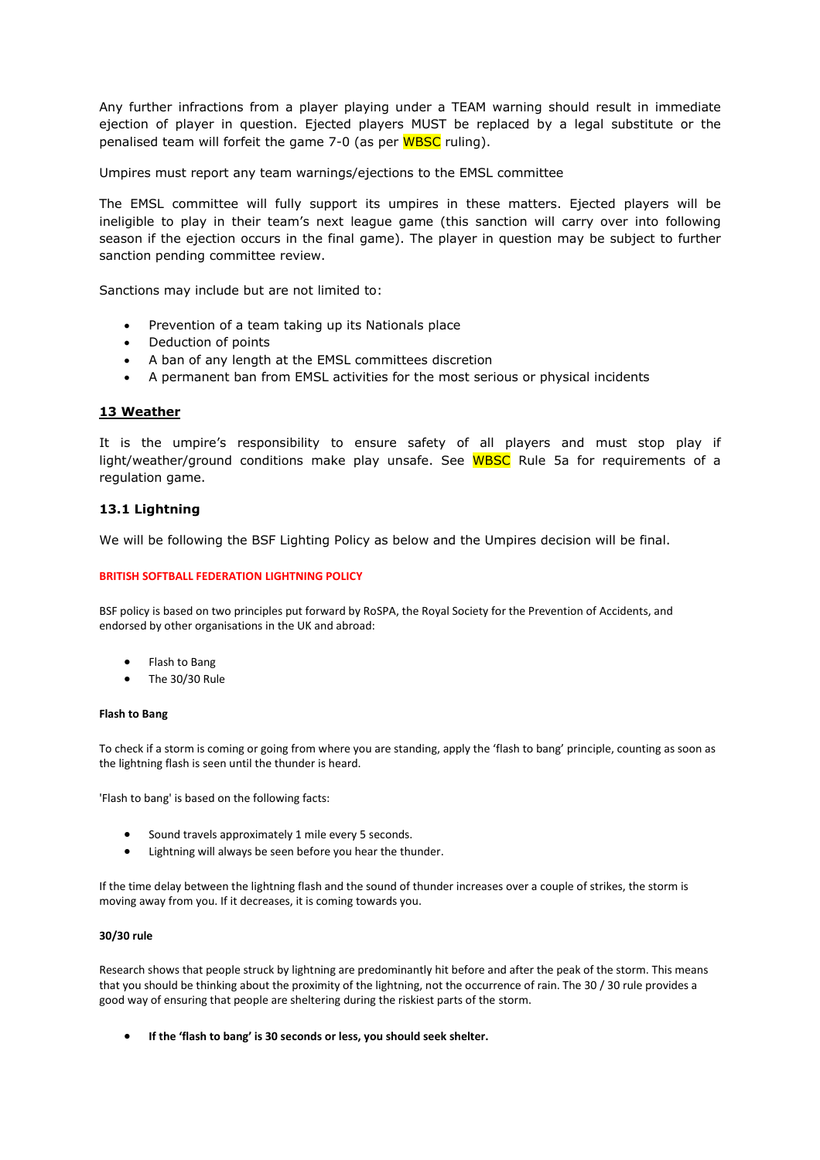Any further infractions from a player playing under a TEAM warning should result in immediate ejection of player in question. Ejected players MUST be replaced by a legal substitute or the penalised team will forfeit the game 7-0 (as per WBSC ruling).

Umpires must report any team warnings/ejections to the EMSL committee

The EMSL committee will fully support its umpires in these matters. Ejected players will be ineligible to play in their team's next league game (this sanction will carry over into following season if the ejection occurs in the final game). The player in question may be subject to further sanction pending committee review.

Sanctions may include but are not limited to:

- Prevention of a team taking up its Nationals place
- Deduction of points
- A ban of any length at the EMSL committees discretion
- A permanent ban from EMSL activities for the most serious or physical incidents

#### **13 Weather**

It is the umpire's responsibility to ensure safety of all players and must stop play if light/weather/ground conditions make play unsafe. See WBSC Rule 5a for requirements of a regulation game.

# **13.1 Lightning**

We will be following the BSF Lighting Policy as below and the Umpires decision will be final.

#### **BRITISH SOFTBALL FEDERATION LIGHTNING POLICY**

BSF policy is based on two principles put forward by RoSPA, the Royal Society for the Prevention of Accidents, and endorsed by other organisations in the UK and abroad:

- Flash to Bang
- The 30/30 Rule

#### **Flash to Bang**

To check if a storm is coming or going from where you are standing, apply the 'flash to bang' principle, counting as soon as the lightning flash is seen until the thunder is heard.

'Flash to bang' is based on the following facts:

- Sound travels approximately 1 mile every 5 seconds.
- Lightning will always be seen before you hear the thunder.

If the time delay between the lightning flash and the sound of thunder increases over a couple of strikes, the storm is moving away from you. If it decreases, it is coming towards you.

#### **30/30 rule**

Research shows that people struck by lightning are predominantly hit before and after the peak of the storm. This means that you should be thinking about the proximity of the lightning, not the occurrence of rain. The 30 / 30 rule provides a good way of ensuring that people are sheltering during the riskiest parts of the storm.

**If the 'flash to bang' is 30 seconds or less, you should seek shelter.**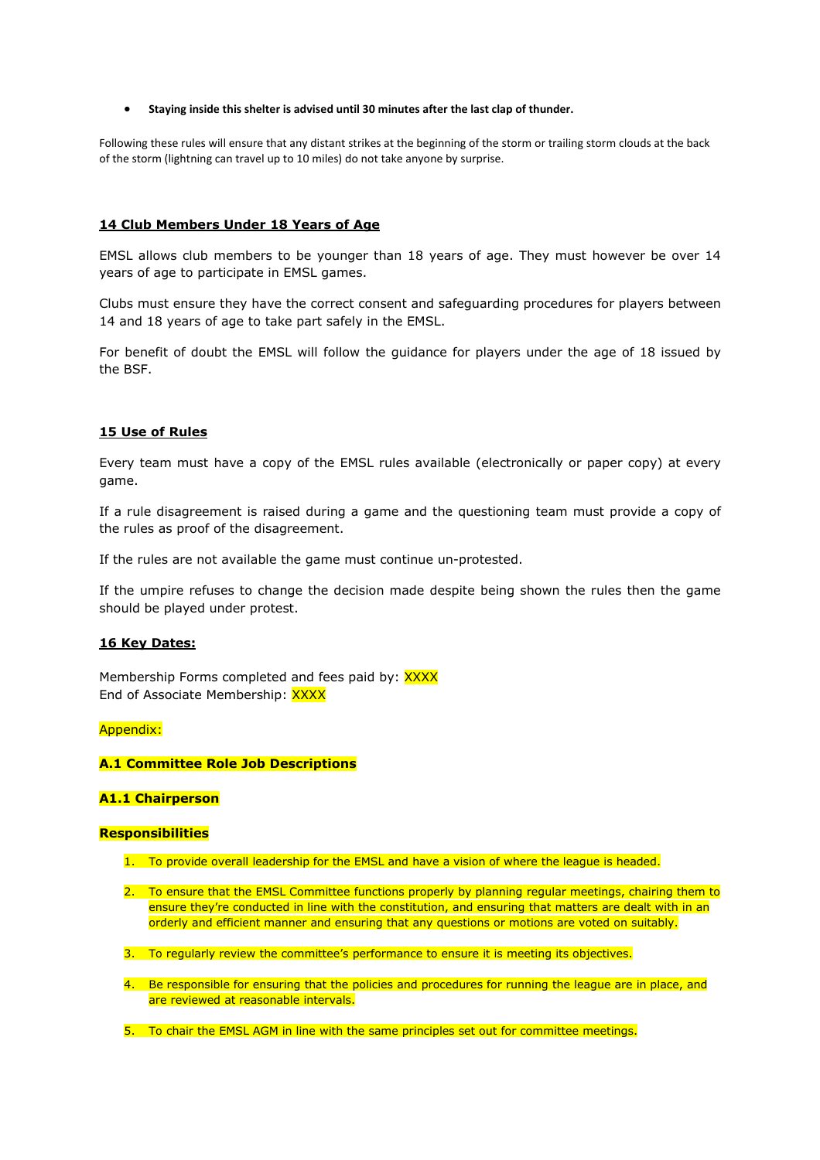#### **Staying inside this shelter is advised until 30 minutes after the last clap of thunder.**

Following these rules will ensure that any distant strikes at the beginning of the storm or trailing storm clouds at the back of the storm (lightning can travel up to 10 miles) do not take anyone by surprise.

#### **14 Club Members Under 18 Years of Age**

EMSL allows club members to be younger than 18 years of age. They must however be over 14 years of age to participate in EMSL games.

Clubs must ensure they have the correct consent and safeguarding procedures for players between 14 and 18 years of age to take part safely in the EMSL.

For benefit of doubt the EMSL will follow the guidance for players under the age of 18 issued by the BSF.

#### **15 Use of Rules**

Every team must have a copy of the EMSL rules available (electronically or paper copy) at every game.

If a rule disagreement is raised during a game and the questioning team must provide a copy of the rules as proof of the disagreement.

If the rules are not available the game must continue un-protested.

If the umpire refuses to change the decision made despite being shown the rules then the game should be played under protest.

#### **16 Key Dates:**

Membership Forms completed and fees paid by: XXXX End of Associate Membership: XXXX

#### Appendix:

#### **A.1 Committee Role Job Descriptions**

#### **A1.1 Chairperson**

#### **Responsibilities**

- 1. To provide overall leadership for the EMSL and have a vision of where the league is headed.
- 2. To ensure that the EMSL Committee functions properly by planning regular meetings, chairing them to ensure they're conducted in line with the constitution, and ensuring that matters are dealt with in an orderly and efficient manner and ensuring that any questions or motions are voted on suitably.
- 3. To regularly review the committee's performance to ensure it is meeting its objectives.
- 4. Be responsible for ensuring that the policies and procedures for running the league are in place, and are reviewed at reasonable intervals.
- 5. To chair the EMSL AGM in line with the same principles set out for committee meetings.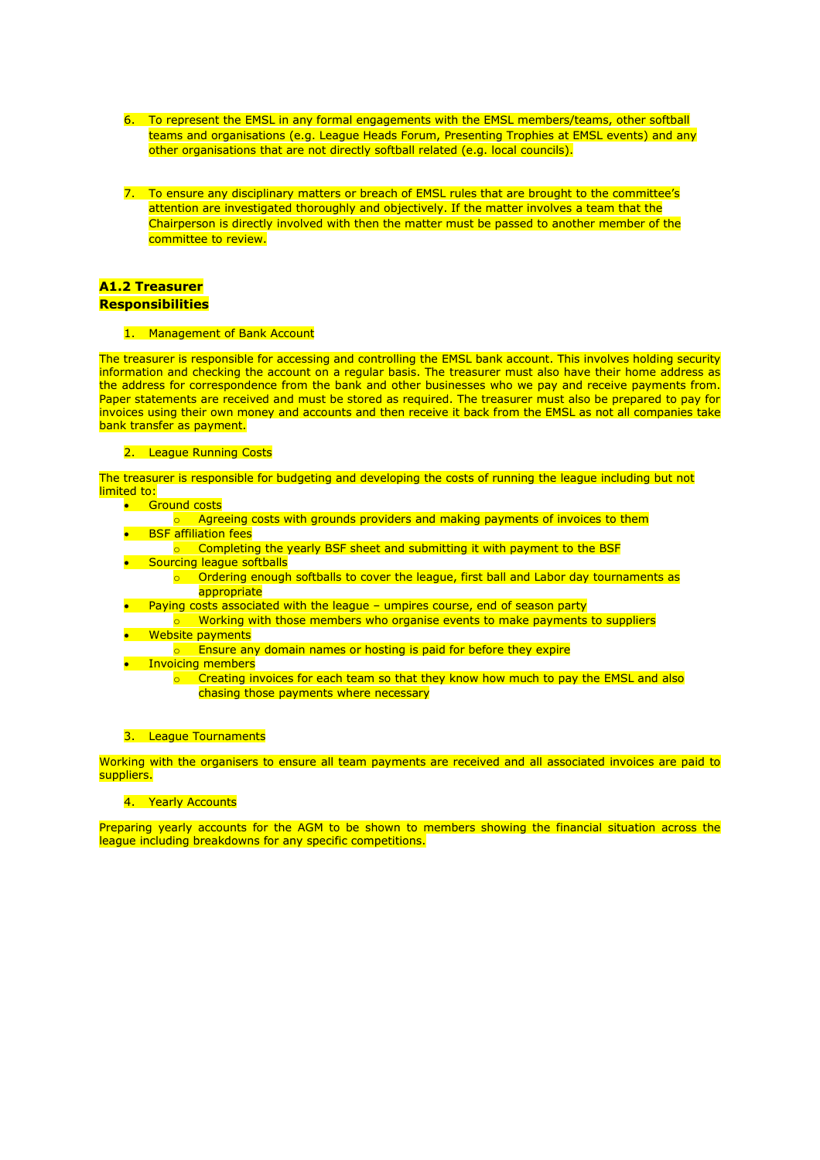- 6. To represent the EMSL in any formal engagements with the EMSL members/teams, other softball teams and organisations (e.g. League Heads Forum, Presenting Trophies at EMSL events) and any other organisations that are not directly softball related (e.g. local councils).
- 7. To ensure any disciplinary matters or breach of EMSL rules that are brought to the committee's attention are investigated thoroughly and objectively. If the matter involves a team that the Chairperson is directly involved with then the matter must be passed to another member of the committee to review.

#### **A1.2 Treasurer Responsibilities**

1. Management of Bank Account

The treasurer is responsible for accessing and controlling the EMSL bank account. This involves holding security information and checking the account on a regular basis. The treasurer must also have their home address as the address for correspondence from the bank and other businesses who we pay and receive payments from. Paper statements are received and must be stored as required. The treasurer must also be prepared to pay for invoices using their own money and accounts and then receive it back from the EMSL as not all companies take bank transfer as payment.

#### 2. League Running Costs

The treasurer is responsible for budgeting and developing the costs of running the league including but not limited to:

- **•** Ground costs
	- $\circ$  Agreeing costs with grounds providers and making payments of invoices to them
- **•** BSF affiliation fees  $\circ$  Completing the yearly BSF sheet and submitting it with payment to the BSF
- **•** Sourcing league softballs
	- o Ordering enough softballs to cover the league, first ball and Labor day tournaments as appropriate
- Paying costs associated with the league umpires course, end of season party
- o Working with those members who organise events to make payments to suppliers **•** Website payments
- $\circ$  Ensure any domain names or hosting is paid for before they expire
- **•** Invoicing members
	- o Creating invoices for each team so that they know how much to pay the EMSL and also chasing those payments where necessary

#### 3. League Tournaments

Working with the organisers to ensure all team payments are received and all associated invoices are paid to suppliers.

#### 4. Yearly Accounts

Preparing yearly accounts for the AGM to be shown to members showing the financial situation across the league including breakdowns for any specific competitions.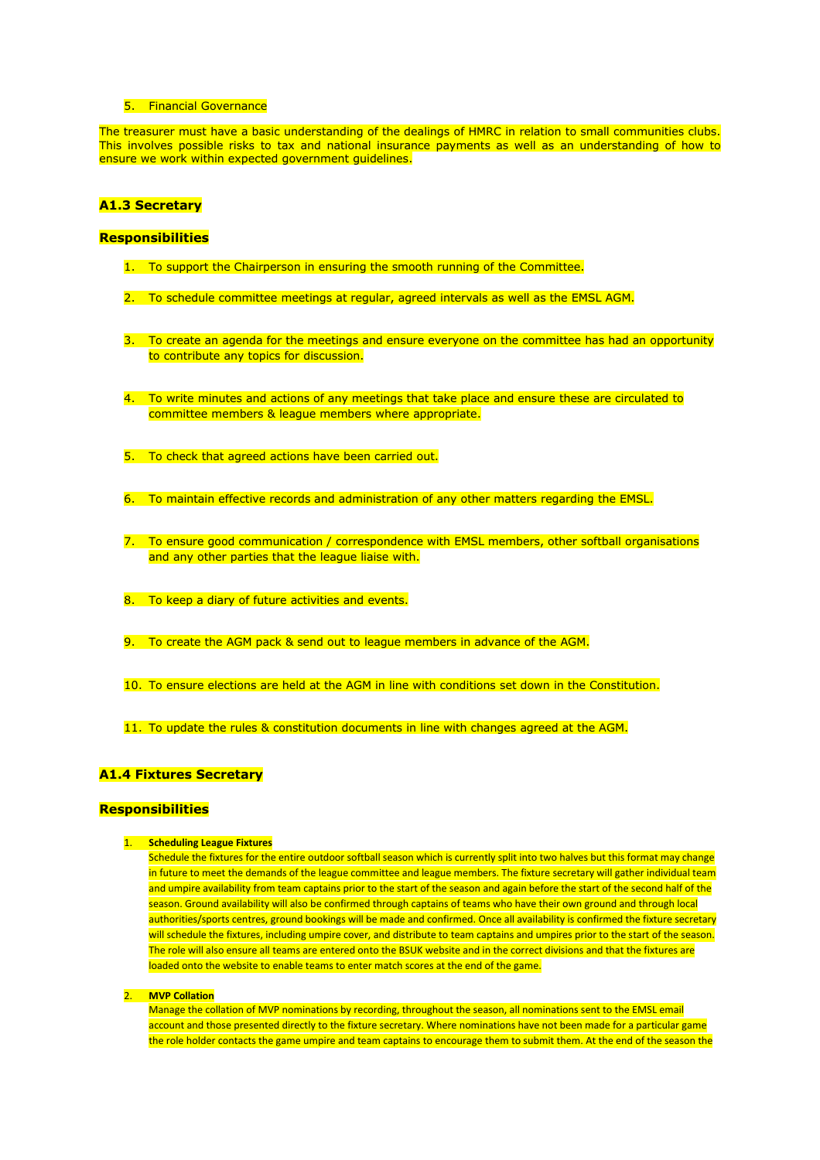#### 5. Financial Governance

The treasurer must have a basic understanding of the dealings of HMRC in relation to small communities clubs. This involves possible risks to tax and national insurance payments as well as an understanding of how to ensure we work within expected government guidelines.

# **A1.3 Secretary**

#### **Responsibilities**

- 1. To support the Chairperson in ensuring the smooth running of the Committee.
- 2. To schedule committee meetings at regular, agreed intervals as well as the EMSL AGM.
- 3. To create an agenda for the meetings and ensure everyone on the committee has had an opportunity to contribute any topics for discussion.
- 4. To write minutes and actions of any meetings that take place and ensure these are circulated to committee members & league members where appropriate.
- 5. To check that agreed actions have been carried out.
- 6. To maintain effective records and administration of any other matters regarding the EMSL.
- 7. To ensure good communication / correspondence with EMSL members, other softball organisations and any other parties that the league liaise with.
- 8. To keep a diary of future activities and events.
- 9. To create the AGM pack & send out to league members in advance of the AGM.
- 10. To ensure elections are held at the AGM in line with conditions set down in the Constitution.
- 11. To update the rules & constitution documents in line with changes agreed at the AGM.

#### **A1.4 Fixtures Secretary**

#### **Responsibilities**

#### 1. **Scheduling League Fixtures**

Schedule the fixtures for the entire outdoor softball season which is currently split into two halves but this format may change in future to meet the demands of the league committee and league members. The fixture secretary will gather individual team and umpire availability from team captains prior to the start of the season and again before the start of the second half of the season. Ground availability will also be confirmed through captains of teams who have their own ground and through local authorities/sports centres, ground bookings will be made and confirmed. Once all availability is confirmed the fixture secretary will schedule the fixtures, including umpire cover, and distribute to team captains and umpires prior to the start of the season. The role will also ensure all teams are entered onto the BSUK website and in the correct divisions and that the fixtures are loaded onto the website to enable teams to enter match scores at the end of the game.

#### 2. **MVP Collation**

Manage the collation of MVP nominations by recording, throughout the season, all nominations sent to the EMSL email account and those presented directly to the fixture secretary. Where nominations have not been made for a particular game the role holder contacts the game umpire and team captains to encourage them to submit them. At the end of the season the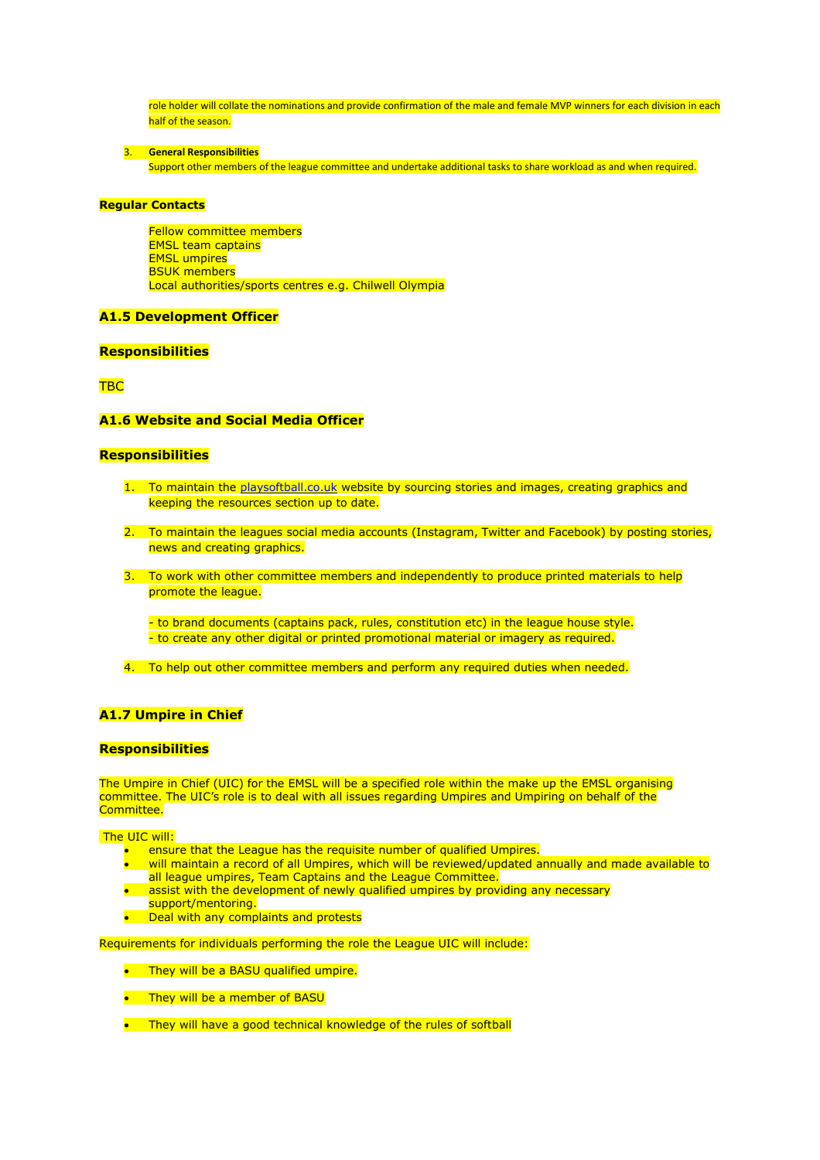role holder will collate the nominations and provide confirmation of the male and female MVP winners for each division in each half of the season.

3. **General Responsibilities**

Support other members of the league committee and undertake additional tasks to share workload as and when required.

#### **Regular Contacts**

Fellow committee members EMSL team captains EMSL umpires BSUK members Local authorities/sports centres e.g. Chilwell Olympia

#### **A1.5 Development Officer**

#### **Responsibilities**

**TBC** 

#### **A1.6 Website and Social Media Officer**

#### **Responsibilities**

- 1. To maintain the [playsoftball.co.uk](http://playsoftball.co.uk/) website by sourcing stories and images, creating graphics and keeping the resources section up to date.
- 2. To maintain the leagues social media accounts (Instagram, Twitter and Facebook) by posting stories, news and creating graphics.
- 3. To work with other committee members and independently to produce printed materials to help promote the league.

- to brand documents (captains pack, rules, constitution etc) in the league house style. - to create any other digital or printed promotional material or imagery as required.

4. To help out other committee members and perform any required duties when needed.

#### **A1.7 Umpire in Chief**

#### **Responsibilities**

The Umpire in Chief (UIC) for the EMSL will be a specified role within the make up the EMSL organising committee. The UIC's role is to deal with all issues regarding Umpires and Umpiring on behalf of the Committee.

The UIC will:

- ensure that the League has the requisite number of qualified Umpires.
- will maintain a record of all Umpires, which will be reviewed/updated annually and made available to all league umpires, Team Captains and the League Committee.
- assist with the development of newly qualified umpires by providing any necessary support/mentoring.
- Deal with any complaints and protests

Requirements for individuals performing the role the League UIC will include:

- They will be a BASU qualified umpire.
- They will be a member of BASU
- They will have a good technical knowledge of the rules of softball